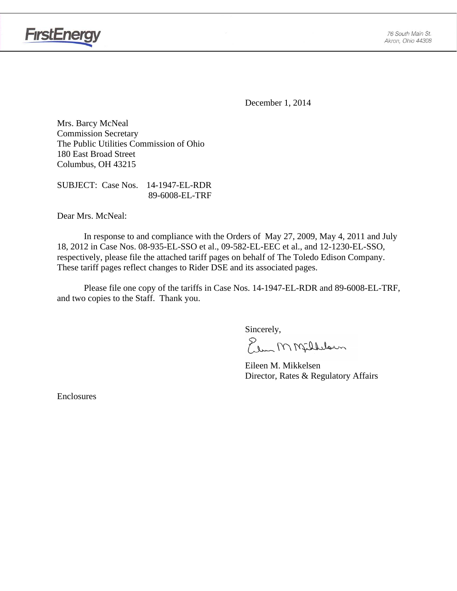

**FirstEnergy** 

December 1, 2014

Mrs. Barcy McNeal Commission Secretary The Public Utilities Commission of Ohio 180 East Broad Street Columbus, OH 43215

SUBJECT: Case Nos. 14-1947-EL-RDR 89-6008-EL-TRF

Dear Mrs. McNeal:

 In response to and compliance with the Orders of May 27, 2009, May 4, 2011 and July 18, 2012 in Case Nos. 08-935-EL-SSO et al., 09-582-EL-EEC et al., and 12-1230-EL-SSO, respectively, please file the attached tariff pages on behalf of The Toledo Edison Company. These tariff pages reflect changes to Rider DSE and its associated pages.

Please file one copy of the tariffs in Case Nos. 14-1947-EL-RDR and 89-6008-EL-TRF, and two copies to the Staff. Thank you.

Sincerely,

Elem M Milleloun

 Eileen M. Mikkelsen Director, Rates & Regulatory Affairs

Enclosures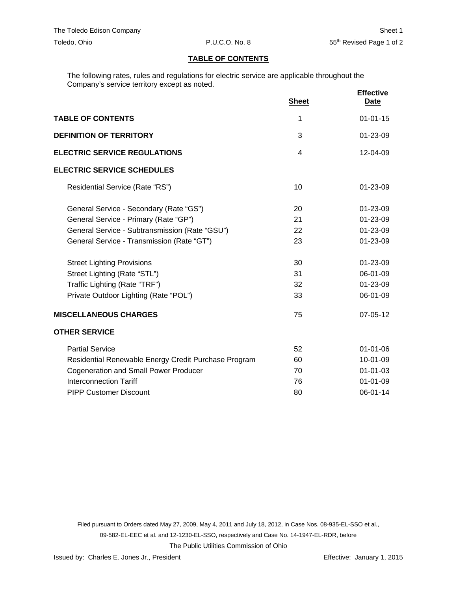## **TABLE OF CONTENTS**

The following rates, rules and regulations for electric service are applicable throughout the Company's service territory except as noted.

|                                                      | <b>Sheet</b> | <b>Effective</b><br>Date |
|------------------------------------------------------|--------------|--------------------------|
| <b>TABLE OF CONTENTS</b>                             | 1            | $01 - 01 - 15$           |
| <b>DEFINITION OF TERRITORY</b>                       | 3            | $01 - 23 - 09$           |
| <b>ELECTRIC SERVICE REGULATIONS</b>                  | 4            | 12-04-09                 |
| <b>ELECTRIC SERVICE SCHEDULES</b>                    |              |                          |
| Residential Service (Rate "RS")                      | 10           | $01 - 23 - 09$           |
| General Service - Secondary (Rate "GS")              | 20           | 01-23-09                 |
| General Service - Primary (Rate "GP")                | 21           | 01-23-09                 |
| General Service - Subtransmission (Rate "GSU")       | 22           | 01-23-09                 |
| General Service - Transmission (Rate "GT")           | 23           | 01-23-09                 |
| <b>Street Lighting Provisions</b>                    | 30           | 01-23-09                 |
| Street Lighting (Rate "STL")                         | 31<br>32     | 06-01-09<br>01-23-09     |
| Traffic Lighting (Rate "TRF")                        |              |                          |
| Private Outdoor Lighting (Rate "POL")                | 33           | 06-01-09                 |
| <b>MISCELLANEOUS CHARGES</b>                         | 75           | 07-05-12                 |
| <b>OTHER SERVICE</b>                                 |              |                          |
| <b>Partial Service</b>                               | 52           | 01-01-06                 |
| Residential Renewable Energy Credit Purchase Program | 60           | 10-01-09                 |
| <b>Cogeneration and Small Power Producer</b>         | 70           | $01 - 01 - 03$           |
| <b>Interconnection Tariff</b>                        | 76           | $01 - 01 - 09$           |
| <b>PIPP Customer Discount</b>                        | 80           | 06-01-14                 |

Filed pursuant to Orders dated May 27, 2009, May 4, 2011 and July 18, 2012, in Case Nos. 08-935-EL-SSO et al., 09-582-EL-EEC et al. and 12-1230-EL-SSO, respectively and Case No. 14-1947-EL-RDR, before The Public Utilities Commission of Ohio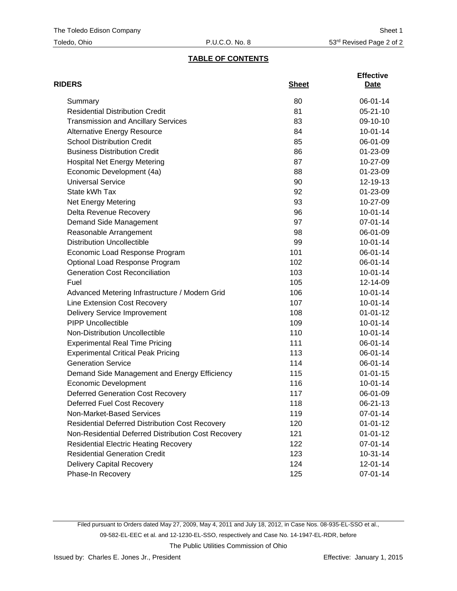## **TABLE OF CONTENTS**

| <b>RIDERS</b>                                          | <b>Sheet</b> | <b>Effective</b><br>Date |
|--------------------------------------------------------|--------------|--------------------------|
| Summary                                                | 80           | 06-01-14                 |
| <b>Residential Distribution Credit</b>                 | 81           | $05 - 21 - 10$           |
| <b>Transmission and Ancillary Services</b>             | 83           | 09-10-10                 |
| <b>Alternative Energy Resource</b>                     | 84           | $10-01-14$               |
| <b>School Distribution Credit</b>                      | 85           | 06-01-09                 |
| <b>Business Distribution Credit</b>                    | 86           | 01-23-09                 |
| <b>Hospital Net Energy Metering</b>                    | 87           | 10-27-09                 |
| Economic Development (4a)                              | 88           | 01-23-09                 |
| <b>Universal Service</b>                               | 90           | 12-19-13                 |
| State kWh Tax                                          | 92           | 01-23-09                 |
| Net Energy Metering                                    | 93           | 10-27-09                 |
| Delta Revenue Recovery                                 | 96           | $10 - 01 - 14$           |
| Demand Side Management                                 | 97           | 07-01-14                 |
| Reasonable Arrangement                                 | 98           | 06-01-09                 |
| <b>Distribution Uncollectible</b>                      | 99           | $10 - 01 - 14$           |
| Economic Load Response Program                         | 101          | 06-01-14                 |
| Optional Load Response Program                         | 102          | 06-01-14                 |
| <b>Generation Cost Reconciliation</b>                  | 103          | $10 - 01 - 14$           |
| Fuel                                                   | 105          | 12-14-09                 |
| Advanced Metering Infrastructure / Modern Grid         | 106          | $10 - 01 - 14$           |
| Line Extension Cost Recovery                           | 107          | $10 - 01 - 14$           |
| <b>Delivery Service Improvement</b>                    | 108          | $01 - 01 - 12$           |
| <b>PIPP Uncollectible</b>                              | 109          | $10 - 01 - 14$           |
| Non-Distribution Uncollectible                         | 110          | $10 - 01 - 14$           |
| <b>Experimental Real Time Pricing</b>                  | 111          | 06-01-14                 |
| <b>Experimental Critical Peak Pricing</b>              | 113          | 06-01-14                 |
| <b>Generation Service</b>                              | 114          | 06-01-14                 |
| Demand Side Management and Energy Efficiency           | 115          | $01 - 01 - 15$           |
| <b>Economic Development</b>                            | 116          | $10 - 01 - 14$           |
| <b>Deferred Generation Cost Recovery</b>               | 117          | 06-01-09                 |
| Deferred Fuel Cost Recovery                            | 118          | 06-21-13                 |
| Non-Market-Based Services                              | 119          | 07-01-14                 |
| <b>Residential Deferred Distribution Cost Recovery</b> | 120          | $01 - 01 - 12$           |
| Non-Residential Deferred Distribution Cost Recovery    | 121          | $01 - 01 - 12$           |
| <b>Residential Electric Heating Recovery</b>           | 122          | 07-01-14                 |
| <b>Residential Generation Credit</b>                   | 123          | $10-31-14$               |
| Delivery Capital Recovery                              | 124          | 12-01-14                 |
| Phase-In Recovery                                      | 125          | 07-01-14                 |

Filed pursuant to Orders dated May 27, 2009, May 4, 2011 and July 18, 2012, in Case Nos. 08-935-EL-SSO et al., 09-582-EL-EEC et al. and 12-1230-EL-SSO, respectively and Case No. 14-1947-EL-RDR, before The Public Utilities Commission of Ohio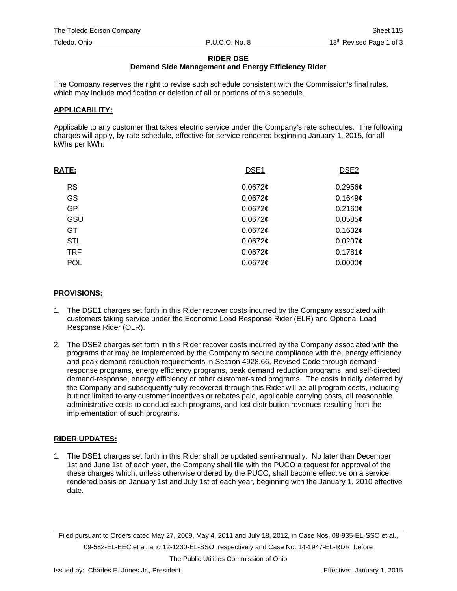#### **RIDER DSE**

# **Demand Side Management and Energy Efficiency Rider**

The Company reserves the right to revise such schedule consistent with the Commission's final rules, which may include modification or deletion of all or portions of this schedule.

#### **APPLICABILITY:**

Applicable to any customer that takes electric service under the Company's rate schedules. The following charges will apply, by rate schedule, effective for service rendered beginning January 1, 2015, for all kWhs per kWh:

| <b>RATE:</b> | DSE <sub>1</sub> | DSE <sub>2</sub> |
|--------------|------------------|------------------|
| <b>RS</b>    | $0.0672$ ¢       | 0.2956c          |
| GS           | $0.0672$ ¢       | 0.1649c          |
| <b>GP</b>    | $0.0672$ ¢       | 0.2160¢          |
| GSU          | $0.0672$ ¢       | 0.0585c          |
| GT           | 0.0672c          | 0.1632c          |
| <b>STL</b>   | $0.0672$ ¢       | $0.0207$ ¢       |
| <b>TRF</b>   | $0.0672$ ¢       | 0.1781c          |
| <b>POL</b>   | $0.0672$ ¢       | 0.0000C          |

#### **PROVISIONS:**

- 1. The DSE1 charges set forth in this Rider recover costs incurred by the Company associated with customers taking service under the Economic Load Response Rider (ELR) and Optional Load Response Rider (OLR).
- 2. The DSE2 charges set forth in this Rider recover costs incurred by the Company associated with the programs that may be implemented by the Company to secure compliance with the, energy efficiency and peak demand reduction requirements in Section 4928.66, Revised Code through demandresponse programs, energy efficiency programs, peak demand reduction programs, and self-directed demand-response, energy efficiency or other customer-sited programs. The costs initially deferred by the Company and subsequently fully recovered through this Rider will be all program costs, including but not limited to any customer incentives or rebates paid, applicable carrying costs, all reasonable administrative costs to conduct such programs, and lost distribution revenues resulting from the implementation of such programs.

## **RIDER UPDATES:**

1. The DSE1 charges set forth in this Rider shall be updated semi-annually. No later than December 1st and June 1st of each year, the Company shall file with the PUCO a request for approval of the these charges which, unless otherwise ordered by the PUCO, shall become effective on a service rendered basis on January 1st and July 1st of each year, beginning with the January 1, 2010 effective date.

Filed pursuant to Orders dated May 27, 2009, May 4, 2011 and July 18, 2012, in Case Nos. 08-935-EL-SSO et al., 09-582-EL-EEC et al. and 12-1230-EL-SSO, respectively and Case No. 14-1947-EL-RDR, before

The Public Utilities Commission of Ohio